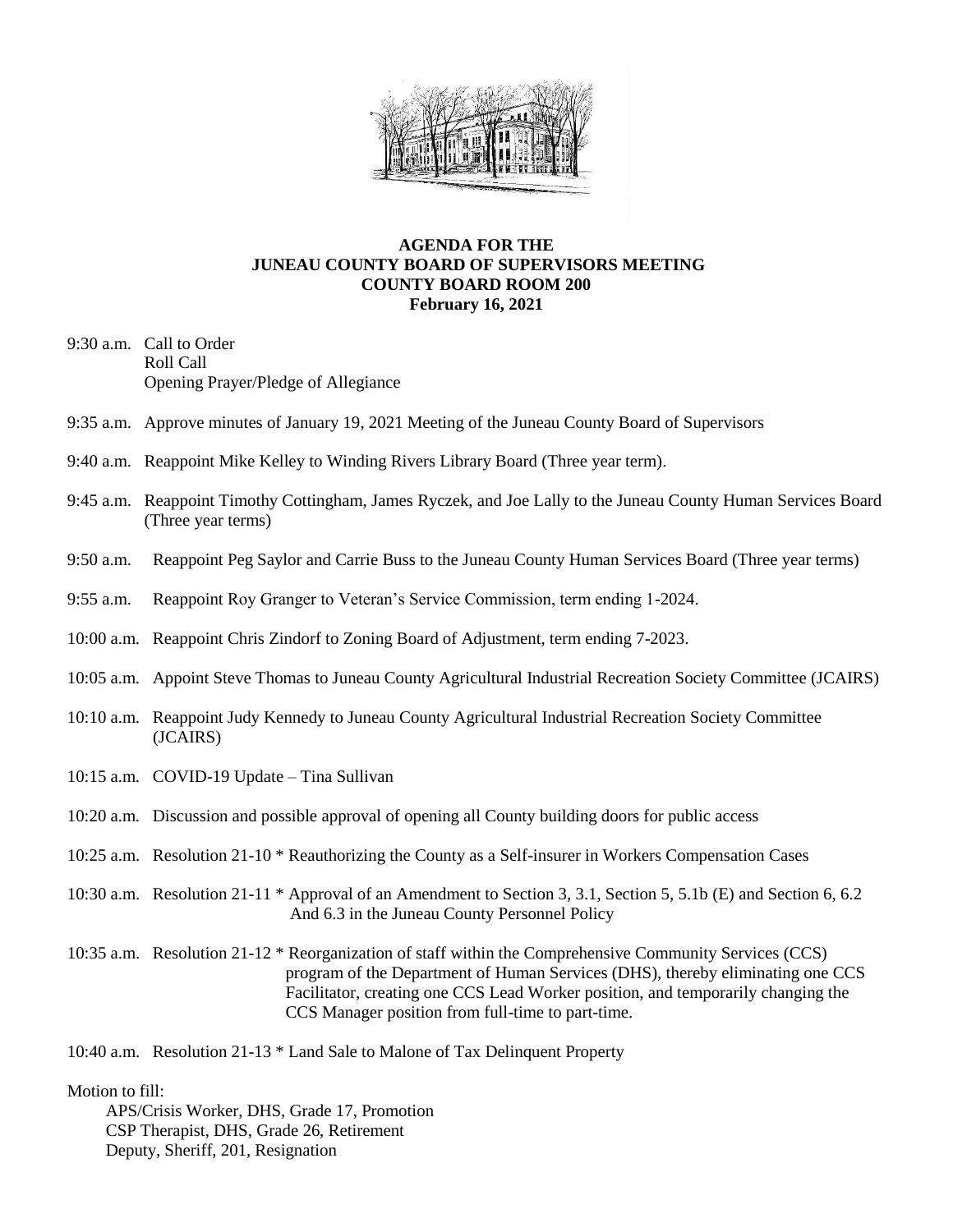

## **AGENDA FOR THE JUNEAU COUNTY BOARD OF SUPERVISORS MEETING COUNTY BOARD ROOM 200 February 16, 2021**

- 9:30 a.m. Call to Order Roll Call Opening Prayer/Pledge of Allegiance
- 9:35 a.m. Approve minutes of January 19, 2021 Meeting of the Juneau County Board of Supervisors
- 9:40 a.m. Reappoint Mike Kelley to Winding Rivers Library Board (Three year term).
- 9:45 a.m. Reappoint Timothy Cottingham, James Ryczek, and Joe Lally to the Juneau County Human Services Board (Three year terms)
- 9:50 a.m. Reappoint Peg Saylor and Carrie Buss to the Juneau County Human Services Board (Three year terms)
- 9:55 a.m. Reappoint Roy Granger to Veteran's Service Commission, term ending 1-2024.
- 10:00 a.m. Reappoint Chris Zindorf to Zoning Board of Adjustment, term ending 7-2023.
- 10:05 a.m. Appoint Steve Thomas to Juneau County Agricultural Industrial Recreation Society Committee (JCAIRS)
- 10:10 a.m. Reappoint Judy Kennedy to Juneau County Agricultural Industrial Recreation Society Committee (JCAIRS)
- 10:15 a.m. COVID-19 Update Tina Sullivan
- 10:20 a.m. Discussion and possible approval of opening all County building doors for public access
- 10:25 a.m. Resolution 21-10 \* Reauthorizing the County as a Self-insurer in Workers Compensation Cases
- 10:30 a.m. Resolution 21-11 \* Approval of an Amendment to Section 3, 3.1, Section 5, 5.1b (E) and Section 6, 6.2 And 6.3 in the Juneau County Personnel Policy
- 10:35 a.m. Resolution 21-12 \* Reorganization of staff within the Comprehensive Community Services (CCS) program of the Department of Human Services (DHS), thereby eliminating one CCS Facilitator, creating one CCS Lead Worker position, and temporarily changing the CCS Manager position from full-time to part-time.

10:40 a.m. Resolution 21-13 \* Land Sale to Malone of Tax Delinquent Property

## Motion to fill:

 APS/Crisis Worker, DHS, Grade 17, Promotion CSP Therapist, DHS, Grade 26, Retirement Deputy, Sheriff, 201, Resignation